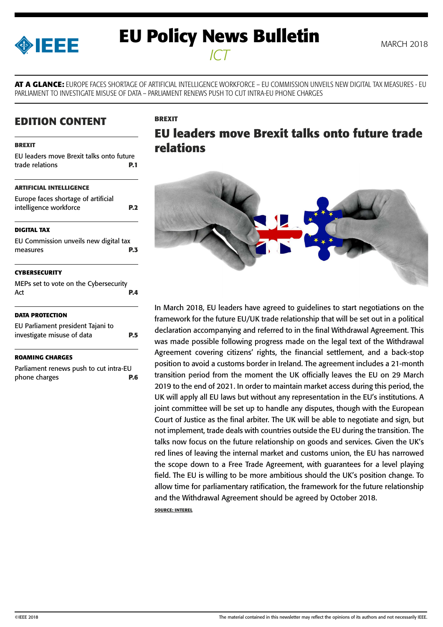<span id="page-0-0"></span>

# **EU Policy News Bulletin** MARCH 2018 *ICT*

**AT A GLANCE:** EUROPE FACES SHORTAGE OF ARTIFICIAL INTELLIGENCE WORKFORCE – EU COMMISSION UNVEILS NEW DIGITAL TAX MEASURES - EU PARLIAMENT TO INVESTIGATE MISUSE OF DATA – PARLIAMENT RENEWS PUSH TO CUT INTRA-EU PHONE CHARGES

## **EDITION CONTENT**

#### **BREXIT**

| EU leaders move Brexit talks onto future |     |
|------------------------------------------|-----|
| trade relations                          | P.1 |
| <b>ARTIFICIAL INTELLIGENCE</b>           |     |
| Europe faces shortage of artificial      |     |
| intelligence workforce                   | P.2 |
| <b>DIGITAL TAX</b>                       |     |
| EU Commission unveils new digital tax    |     |
| measures                                 | P.3 |
| <b>CYBERSECURITY</b>                     |     |
| MEPs set to vote on the Cybersecurity    |     |
| Act                                      | P.4 |
| <b>DATA PROTECTION</b>                   |     |
| EU Parliament president Tajani to        |     |
| investigate misuse of data               | P.5 |
| ROAMING CHARGES                          |     |
|                                          |     |

[Parliament renews push to cut intra-EU](#page-5-0)  [phone charges](#page-5-0) **P.6**

## **BREXIT**

# **EU leaders move Brexit talks onto future trade relations**



In March 2018, EU leaders have agreed to guidelines to start negotiations on the framework for the future EU/UK trade relationship that will be set out in a political declaration accompanying and referred to in the final Withdrawal Agreement. This was made possible following progress made on the legal text of the Withdrawal Agreement covering citizens' rights, the financial settlement, and a back-stop position to avoid a customs border in Ireland. The agreement includes a 21-month transition period from the moment the UK officially leaves the EU on 29 March 2019 to the end of 2021. In order to maintain market access during this period, the UK will apply all EU laws but without any representation in the EU's institutions. A joint committee will be set up to handle any disputes, though with the European Court of Justice as the final arbiter. The UK will be able to negotiate and sign, but not implement, trade deals with countries outside the EU during the transition. The talks now focus on the future relationship on goods and services. Given the UK's red lines of leaving the internal market and customs union, the EU has narrowed the scope down to a Free Trade Agreement, with guarantees for a level playing field. The EU is willing to be more ambitious should the UK's position change. To allow time for parliamentary ratification, the framework for the future relationship and the Withdrawal Agreement should be agreed by October 2018.

**SOURCE: INTEREL**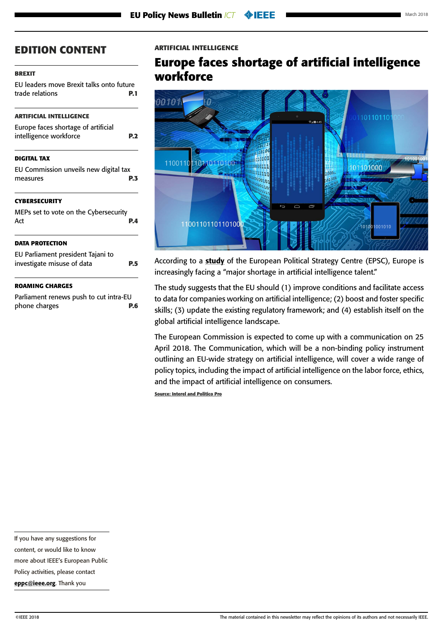#### <span id="page-1-0"></span>**[BREXIT](#page-0-0)**

[EU leaders move Brexit talks onto future](#page-0-0)  [trade relations](#page-0-0) **P.1**

#### **ARTIFICIAL INTELLIGENCE**

| <b>DIGITAL TAX</b>                  |            |
|-------------------------------------|------------|
| intelligence workforce              | <b>P.2</b> |
| Europe faces shortage of artificial |            |

[EU Commission unveils new digital tax](#page-2-0)  [measures](#page-2-0) **P.3**

#### **[CYBERSECURITY](#page-3-0)**

| MEPs set to vote on the Cybersecurity<br>Act                    | PД |
|-----------------------------------------------------------------|----|
| <b>DATA PROTECTION</b>                                          |    |
| EU Parliament president Tajani to<br>investigate misuse of data |    |

#### **[ROAMING CHARGES](#page-5-0)**

[Parliament renews push to cut intra-EU](#page-5-0)  [phone charges](#page-5-0) **P.6**

#### **ARTIFICIAL INTELLIGENCE**

## **Europe faces shortage of artificial intelligence workforce**



According to a [study](https://ec.europa.eu/epsc/sites/epsc/files/epsc_strategicnote_ai.pdf) of the European Political Strategy Centre (EPSC), Europe is increasingly facing a "major shortage in artificial intelligence talent."

The study suggests that the EU should (1) improve conditions and facilitate access to data for companies working on artificial intelligence; (2) boost and foster specific skills; (3) update the existing regulatory framework; and (4) establish itself on the global artificial intelligence landscape.

The European Commission is expected to come up with a communication on 25 April 2018. The Communication, which will be a non-binding policy instrument outlining an EU-wide strategy on artificial intelligence, will cover a wide range of policy topics, including the impact of artificial intelligence on the labor force, ethics, and the impact of artificial intelligence on consumers.

**Source: Interel and Politico Pro**

If you have any suggestions for

content, or would like to know

more about IEEE's European Public

Policy activities, please contact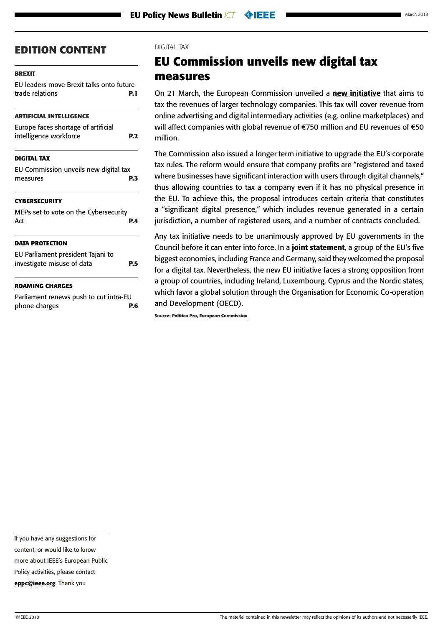#### <span id="page-2-0"></span>**[BREXIT](#page-0-0)**

[EU leaders move Brexit talks onto future](#page-0-0)  [trade relations](#page-0-0) **P.1**

#### **[ARTIFICIAL INTELLIGENCE](#page-1-0)**

| Europe faces shortage of artificial |            |
|-------------------------------------|------------|
| intelligence workforce              | <b>P.2</b> |

#### **DIGITAL TAX**

| EU Commission unveils new digital tax |  |     |
|---------------------------------------|--|-----|
| measures                              |  | P.3 |
|                                       |  |     |

#### **[CYBERSECURITY](#page-3-0)**

| MEPs set to vote on the Cybersecurity<br>Act | PД |
|----------------------------------------------|----|
| <b>DATA PROTECTION</b>                       |    |
| EU Parliament president Tajani to            |    |
| investigate misuse of data                   | PБ |
| <b>ROAMING CHARGES</b>                       |    |
| Parliament renews nuch to cut intra-FLI      |    |

Parliament renews push to cut intra-I [phone charges](#page-5-0) **P.6**

#### DIGITAL TAX

# **EU Commission unveils new digital tax measures**

On 21 March, the European Commission unveiled a [new initiative](https://ec.europa.eu/taxation_customs/business/company-tax/fair-taxation-digital-economy_en) that aims to tax the revenues of larger technology companies. This tax will cover revenue from online advertising and digital intermediary activities (e.g. online marketplaces) and will affect companies with global revenue of €750 million and EU revenues of €50 million.

The Commission also issued a longer term initiative to upgrade the EU's corporate tax rules. The reform would ensure that company profits are "registered and taxed where businesses have significant interaction with users through digital channels," thus allowing countries to tax a company even if it has no physical presence in the EU. To achieve this, the proposal introduces certain criteria that constitutes a "significant digital presence," which includes revenue generated in a certain jurisdiction, a number of registered users, and a number of contracts concluded.

Any tax initiative needs to be unanimously approved by EU governments in the Council before it can enter into force. In a [joint statement](https://g8fip1kplyr33r3krz5b97d1-wpengine.netdna-ssl.com/wp-content/uploads/2018/03/407-bis.pdf), a group of the EU's five biggest economies, including France and Germany, said they welcomed the proposal for a digital tax. Nevertheless, the new EU initiative faces a strong opposition from a group of countries, including Ireland, Luxembourg, Cyprus and the Nordic states, which favor a global solution through the Organisation for Economic Co-operation and Development (OECD).

**Source: Politico Pro, European Commission**

If you have any suggestions for

content, or would like to know

more about IEEE's European Public

Policy activities, please contact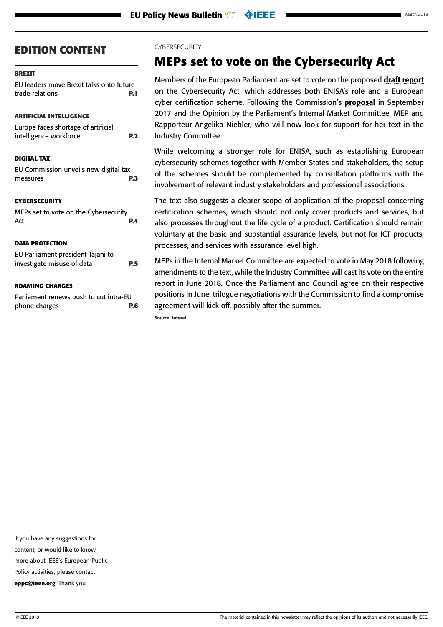#### <span id="page-3-0"></span>**[BREXIT](#page-0-0)**

[EU leaders move Brexit talks onto future](#page-0-0)  [trade relations](#page-0-0) **P.1**

#### **[ARTIFICIAL INTELLIGENCE](#page-1-0)**

| Europe faces shortage of artificial |            |
|-------------------------------------|------------|
| intelligence workforce              | <b>P.2</b> |
|                                     |            |

#### **[DIGITAL TAX](#page-2-0)**

| EU Commission unveils new digital tax |  |     |
|---------------------------------------|--|-----|
| measures                              |  | P.3 |

#### **CYBERSECURITY**

| MEPs set to vote on the Cybersecurity<br>Act    | PД  |
|-------------------------------------------------|-----|
| <b>DATA PROTECTION</b>                          |     |
| EU Parliament president Tajani to               |     |
| investigate misuse of data                      | P.5 |
| <b>ROAMING CHARGES</b>                          |     |
| Dealizers and accessors would be welding and TH |     |

[Parliament renews push to cut intra-EU](#page-5-0)  [phone charges](#page-5-0) **P.6**

#### **CYBERSECURITY**

## **MEPs set to vote on the Cybersecurity Act**

Members of the European Parliament are set to vote on the proposed [draft report](http://www.europarl.europa.eu/sides/getDoc.do?pubRef=-%2f%2fEP%2f%2fNONSGML%2bCOMPARL%2bPE-619.373%2b01%2bDOC%2bPDF%2bV0%2f%2fEN) on the Cybersecurity Act, which addresses both ENISA's role and a European cyber certification scheme. Following the Commission's [proposal](https://ec.europa.eu/info/law/better-regulation/initiatives/com-2017-477_en) in September 2017 and the Opinion by the Parliament's Internal Market Committee, MEP and Rapporteur Angelika Niebler, who will now look for support for her text in the Industry Committee.

While welcoming a stronger role for ENISA, such as establishing European cybersecurity schemes together with Member States and stakeholders, the setup of the schemes should be complemented by consultation platforms with the involvement of relevant industry stakeholders and professional associations.

The text also suggests a clearer scope of application of the proposal concerning certification schemes, which should not only cover products and services, but also processes throughout the life cycle of a product. Certification should remain voluntary at the basic and substantial assurance levels, but not for ICT products, processes, and services with assurance level high.

MEPs in the Internal Market Committee are expected to vote in May 2018 following amendments to the text, while the Industry Committee will cast its vote on the entire report in June 2018. Once the Parliament and Council agree on their respective positions in June, trilogue negotiations with the Commission to find a compromise agreement will kick off, possibly after the summer.

**Source: Interel**

If you have any suggestions for

content, or would like to know

more about IEEE's European Public

Policy activities, please contact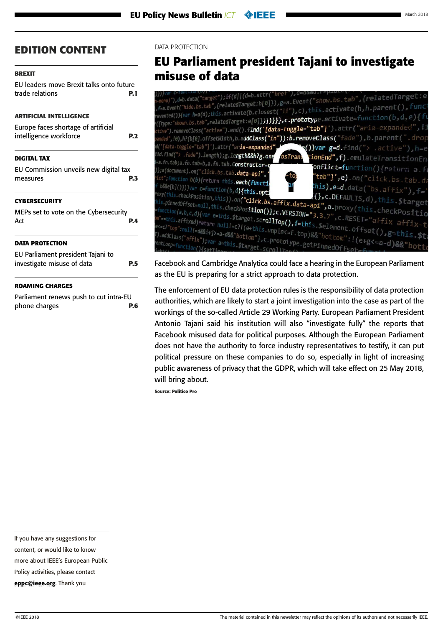#### <span id="page-4-0"></span>**[BREXIT](#page-0-0)**

[EU leaders move Brexit talks onto future](#page-0-0)  [trade relations](#page-0-0) **P.1**

#### **[ARTIFICIAL INTELLIGENCE](#page-1-0)**

| Europe faces shortage of artificial |            |
|-------------------------------------|------------|
| intelligence workforce              | <b>P.2</b> |
|                                     |            |

#### **[DIGITAL TAX](#page-2-0)**

[EU Commission unveils new digital tax](#page-2-0)  [measures](#page-2-0) **P.3**

#### **[CYBERSECURITY](#page-3-0)**

[MEPs set to vote on the Cybersecurity](#page-3-0)  Act **[P.4](#page-3-0)**

#### **DATA PROTECTION**

| EU Parliament president Tajani to |            |
|-----------------------------------|------------|
| investigate misuse of data        | <b>P.5</b> |

#### **[ROAMING CHARGES](#page-5-0)**

[Parliament renews push to cut intra-EU](#page-5-0)  [phone charges](#page-5-0) **P.6**

#### DATA PROTECTION

## **EU Parliament president Tajani to investigate misuse of data**

| $\mathcal{H}_{\text{menu}}$ "), $\mathsf{d}$ =b.data("target");if(d  (d=b.attr("href"),d=0&&u.rep=<br>),f=a.Event("hide.bs.tab",{relatedTarget:b[0]}),g=a.Event("show.bs.tab",{relatedTarget:e <br>revented()){var h=a(d);this.activate(b.closest("li"),c),this.activate(h,h.parent(),funct<br>"({type:"shown.bs.tab",relatedTarget:e[0]} <b>)}}}},c.prototy</b> pe.activate=function(b,d,e){fl<br>ctive").removeClass("active").end().fi <b>nd('[data-toggle="tab"]</b> ) attr("aria-expanded",!1 |                                              |
|----------------------------------------------------------------------------------------------------------------------------------------------------------------------------------------------------------------------------------------------------------------------------------------------------------------------------------------------------------------------------------------------------------------------------------------------------------------------------------------------------|----------------------------------------------|
| panded",I0),h?(b[0].offsetWidth,b.ad <b>dClass("in")):b.removeClass(</b> "fade"),b.parent(".drop                                                                                                                                                                                                                                                                                                                                                                                                   |                                              |
| nd('[data-toggle="tab"]').attr("ar <b>ia-expanded",</b>                                                                                                                                                                                                                                                                                                                                                                                                                                            | <b>())var g=d.</b> find("> .active"),h=ed    |
| IId.find("> .fade").length);g.length&&h?g.one<br>bsTran                                                                                                                                                                                                                                                                                                                                                                                                                                            | t <b>ionEnd",f)</b> .emulateTransitionEn     |
| i=a.fn.tab;a.fn.tab=b,a.fn.tab.C <b>onstructor=q</b>                                                                                                                                                                                                                                                                                                                                                                                                                                               |                                              |
|                                                                                                                                                                                                                                                                                                                                                                                                                                                                                                    | onflict=function(){return a.fr               |
| )};a(document).on("click.bs.tab <b>.data-api",</b><br>-to,                                                                                                                                                                                                                                                                                                                                                                                                                                         |                                              |
| rict";function b(b){return this <b>.each(functi</b>                                                                                                                                                                                                                                                                                                                                                                                                                                                | "tab"]',e).on("click.bs.tab.da               |
| if b&&e[b]()})}var c=function(b,d <b>){this.opt</b> :                                                                                                                                                                                                                                                                                                                                                                                                                                              | $\mathsf{this)}$ , e=d.data("bs.affix"), f=" |
|                                                                                                                                                                                                                                                                                                                                                                                                                                                                                                    |                                              |
|                                                                                                                                                                                                                                                                                                                                                                                                                                                                                                    |                                              |
|                                                                                                                                                                                                                                                                                                                                                                                                                                                                                                    |                                              |
| $\mathit{row}($ this.checkPosition,this)).on(" <b>click.bs.affix.data-api",a.</b> proxy(this.checkPositio<br>this.pinnedOffset=null,this.checkPos <b>ition()};c.VERSION="3.3</b> .7",c.RESET="affix affix-to<br>=function(a,b,c,d){var e=this.\$target.scr <b>ollTop(),f=th</b> is.\$element.offset(),g=this.\$ta                                                                                                                                                                                  |                                              |
|                                                                                                                                                                                                                                                                                                                                                                                                                                                                                                    |                                              |
|                                                                                                                                                                                                                                                                                                                                                                                                                                                                                                    |                                              |
|                                                                                                                                                                                                                                                                                                                                                                                                                                                                                                    |                                              |
|                                                                                                                                                                                                                                                                                                                                                                                                                                                                                                    |                                              |
| om"==this.affixed)return null!=c?!(e+this.unpin<=f.top)&&"bottom":!(e+g<=a-d)&&"botto<br>e<=c?"top":null!=d&&i+j>=a-d&&"bottom"},c.prototype.getPinnedOffset=fr                                                                                                                                                                                                                                                                                                                                    |                                              |
|                                                                                                                                                                                                                                                                                                                                                                                                                                                                                                    |                                              |
|                                                                                                                                                                                                                                                                                                                                                                                                                                                                                                    |                                              |

Facebook and Cambridge Analytica could face a hearing in the European Parliament as the EU is preparing for a strict approach to data protection.

The enforcement of EU data protection rules is the responsibility of data protection authorities, which are likely to start a joint investigation into the case as part of the workings of the so-called Article 29 Working Party. European Parliament President Antonio Tajani said his institution will also "investigate fully" the reports that Facebook misused data for political purposes. Although the European Parliament does not have the authority to force industry representatives to testify, it can put political pressure on these companies to do so, especially in light of increasing public awareness of privacy that the GDPR, which will take effect on 25 May 2018, will bring about.

**Source: Politico Pro**

If you have any suggestions for

content, or would like to know

more about IEEE's European Public

Policy activities, please contact